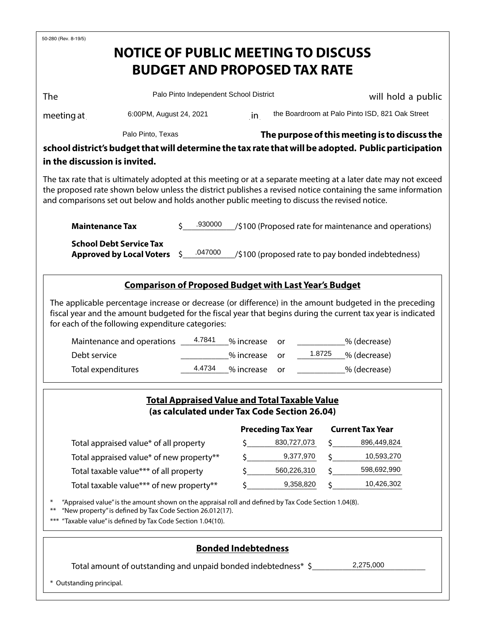| 50-280 (Rev. 8-19/5)                                                                                                                                                                                                                                                                                                             |                                            |                                               |                            |                                                       |                    |                         |  |  |  |
|----------------------------------------------------------------------------------------------------------------------------------------------------------------------------------------------------------------------------------------------------------------------------------------------------------------------------------|--------------------------------------------|-----------------------------------------------|----------------------------|-------------------------------------------------------|--------------------|-------------------------|--|--|--|
|                                                                                                                                                                                                                                                                                                                                  | <b>NOTICE OF PUBLIC MEETING TO DISCUSS</b> |                                               |                            |                                                       |                    |                         |  |  |  |
|                                                                                                                                                                                                                                                                                                                                  |                                            |                                               |                            | <b>BUDGET AND PROPOSED TAX RATE</b>                   |                    |                         |  |  |  |
| The                                                                                                                                                                                                                                                                                                                              | Palo Pinto Independent School District     |                                               |                            |                                                       | will hold a public |                         |  |  |  |
|                                                                                                                                                                                                                                                                                                                                  |                                            |                                               |                            |                                                       |                    |                         |  |  |  |
| 6:00PM, August 24, 2021<br>meeting at                                                                                                                                                                                                                                                                                            |                                            |                                               |                            | the Boardroom at Palo Pinto ISD, 821 Oak Street<br>in |                    |                         |  |  |  |
|                                                                                                                                                                                                                                                                                                                                  |                                            | The purpose of this meeting is to discuss the |                            |                                                       |                    |                         |  |  |  |
| school district's budget that will determine the tax rate that will be adopted. Public participation                                                                                                                                                                                                                             |                                            |                                               |                            |                                                       |                    |                         |  |  |  |
| in the discussion is invited.                                                                                                                                                                                                                                                                                                    |                                            |                                               |                            |                                                       |                    |                         |  |  |  |
| The tax rate that is ultimately adopted at this meeting or at a separate meeting at a later date may not exceed<br>the proposed rate shown below unless the district publishes a revised notice containing the same information<br>and comparisons set out below and holds another public meeting to discuss the revised notice. |                                            |                                               |                            |                                                       |                    |                         |  |  |  |
| .930000<br><b>Maintenance Tax</b><br>/\$100 (Proposed rate for maintenance and operations)                                                                                                                                                                                                                                       |                                            |                                               |                            |                                                       |                    |                         |  |  |  |
| <b>School Debt Service Tax</b><br>.047000<br><b>Approved by Local Voters</b><br>/\$100 (proposed rate to pay bonded indebtedness)<br>S.                                                                                                                                                                                          |                                            |                                               |                            |                                                       |                    |                         |  |  |  |
| <b>Comparison of Proposed Budget with Last Year's Budget</b>                                                                                                                                                                                                                                                                     |                                            |                                               |                            |                                                       |                    |                         |  |  |  |
| The applicable percentage increase or decrease (or difference) in the amount budgeted in the preceding<br>fiscal year and the amount budgeted for the fiscal year that begins during the current tax year is indicated<br>for each of the following expenditure categories:                                                      |                                            |                                               |                            |                                                       |                    |                         |  |  |  |
| 4.7841<br>Maintenance and operations                                                                                                                                                                                                                                                                                             |                                            |                                               | % increase                 | or                                                    |                    | % (decrease)            |  |  |  |
| Debt service                                                                                                                                                                                                                                                                                                                     |                                            |                                               | % increase                 | or                                                    | 1.8725             | % (decrease)            |  |  |  |
| <b>Total expenditures</b>                                                                                                                                                                                                                                                                                                        |                                            | 4.4734                                        | % increase                 | or                                                    |                    | _% (decrease)           |  |  |  |
| <b>Total Appraised Value and Total Taxable Value</b><br>(as calculated under Tax Code Section 26.04)                                                                                                                                                                                                                             |                                            |                                               |                            |                                                       |                    |                         |  |  |  |
|                                                                                                                                                                                                                                                                                                                                  |                                            |                                               |                            | <b>Preceding Tax Year</b>                             |                    | <b>Current Tax Year</b> |  |  |  |
| Total appraised value* of all property                                                                                                                                                                                                                                                                                           |                                            |                                               | Ś.                         | 830,727,073                                           |                    | 896,449,824             |  |  |  |
|                                                                                                                                                                                                                                                                                                                                  | Total appraised value* of new property**   |                                               |                            | 9,377,970                                             |                    | 10,593,270              |  |  |  |
| Total taxable value*** of all property                                                                                                                                                                                                                                                                                           |                                            |                                               | Ś                          | 560,226,310                                           |                    | 598,692,990             |  |  |  |
| Total taxable value*** of new property**                                                                                                                                                                                                                                                                                         |                                            |                                               |                            | 9,358,820                                             |                    | 10,426,302              |  |  |  |
| "Appraised value" is the amount shown on the appraisal roll and defined by Tax Code Section 1.04(8).<br>"New property" is defined by Tax Code Section 26.012(17).<br>$***$<br>"Taxable value" is defined by Tax Code Section 1.04(10).                                                                                           |                                            |                                               |                            |                                                       |                    |                         |  |  |  |
|                                                                                                                                                                                                                                                                                                                                  |                                            |                                               | <b>Bonded Indebtedness</b> |                                                       |                    |                         |  |  |  |
| 2,275,000<br>Total amount of outstanding and unpaid bonded indebtedness* \$                                                                                                                                                                                                                                                      |                                            |                                               |                            |                                                       |                    |                         |  |  |  |

\* Outstanding principal.